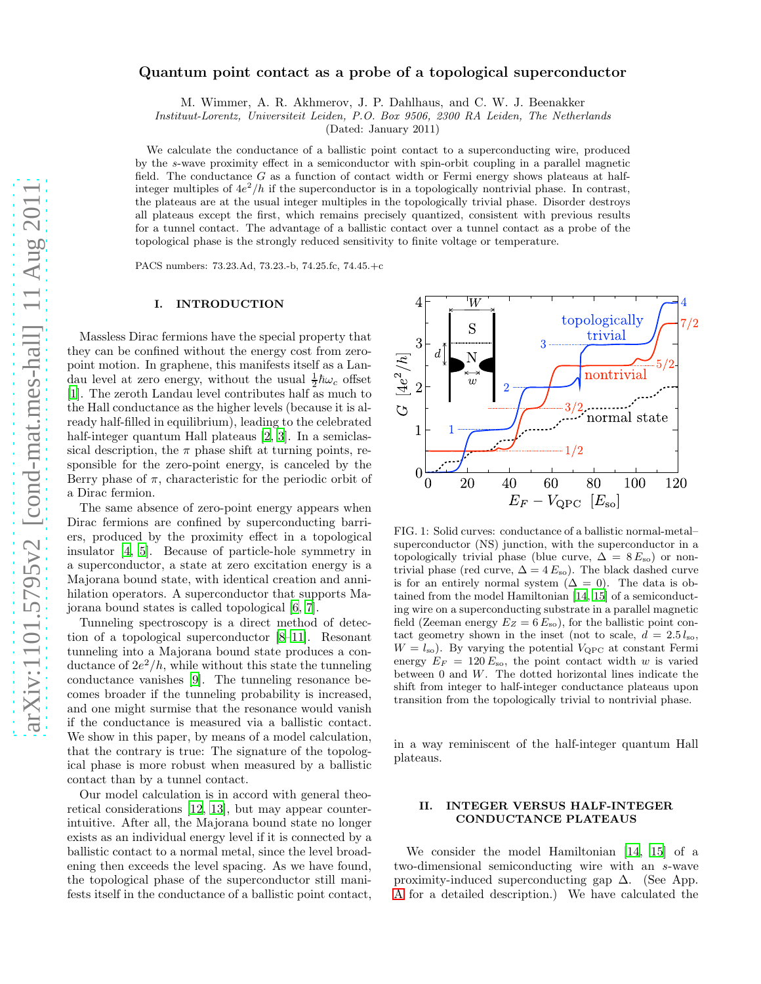# Quantum point contact as a probe of a topological superconductor

M. Wimmer, A. R. Akhmerov, J. P. Dahlhaus, and C. W. J. Beenakker

Instituut-Lorentz, Universiteit Leiden, P.O. Box 9506, 2300 RA Leiden, The Netherlands

(Dated: January 2011)

We calculate the conductance of a ballistic point contact to a superconducting wire, produced by the s-wave proximity effect in a semiconductor with spin-orbit coupling in a parallel magnetic field. The conductance  $G$  as a function of contact width or Fermi energy shows plateaus at halfinteger multiples of  $4e^2/h$  if the superconductor is in a topologically nontrivial phase. In contrast, the plateaus are at the usual integer multiples in the topologically trivial phase. Disorder destroys all plateaus except the first, which remains precisely quantized, consistent with previous results for a tunnel contact. The advantage of a ballistic contact over a tunnel contact as a probe of the topological phase is the strongly reduced sensitivity to finite voltage or temperature.

PACS numbers: 73.23.Ad, 73.23.-b, 74.25.fc, 74.45.+c

#### I. INTRODUCTION

Massless Dirac fermions have the special property that they can be confined without the energy cost from zeropoint motion. In graphene, this manifests itself as a Landau level at zero energy, without the usual  $\frac{1}{2}\hbar\omega_c$  offset [\[1\]](#page-5-0). The zeroth Landau level contributes half as much to the Hall conductance as the higher levels (because it is already half-filled in equilibrium), leading to the celebrated half-integer quantum Hall plateaus [\[2,](#page-5-1) [3\]](#page-5-2). In a semiclassical description, the  $\pi$  phase shift at turning points, responsible for the zero-point energy, is canceled by the Berry phase of  $\pi$ , characteristic for the periodic orbit of a Dirac fermion.

The same absence of zero-point energy appears when Dirac fermions are confined by superconducting barriers, produced by the proximity effect in a topological insulator [\[4,](#page-5-3) [5](#page-5-4)]. Because of particle-hole symmetry in a superconductor, a state at zero excitation energy is a Majorana bound state, with identical creation and annihilation operators. A superconductor that supports Majorana bound states is called topological [\[6](#page-5-5), [7\]](#page-5-6).

Tunneling spectroscopy is a direct method of detection of a topological superconductor [\[8](#page-5-7)[–11\]](#page-5-8). Resonant tunneling into a Majorana bound state produces a conductance of  $2e^2/h$ , while without this state the tunneling conductance vanishes [\[9\]](#page-5-9). The tunneling resonance becomes broader if the tunneling probability is increased, and one might surmise that the resonance would vanish if the conductance is measured via a ballistic contact. We show in this paper, by means of a model calculation, that the contrary is true: The signature of the topological phase is more robust when measured by a ballistic contact than by a tunnel contact.

Our model calculation is in accord with general theoretical considerations [\[12](#page-5-10), [13\]](#page-5-11), but may appear counterintuitive. After all, the Majorana bound state no longer exists as an individual energy level if it is connected by a ballistic contact to a normal metal, since the level broadening then exceeds the level spacing. As we have found, the topological phase of the superconductor still manifests itself in the conductance of a ballistic point contact,



<span id="page-0-0"></span>FIG. 1: Solid curves: conductance of a ballistic normal-metal– superconductor (NS) junction, with the superconductor in a topologically trivial phase (blue curve,  $\Delta = 8 E_{\rm so}$ ) or nontrivial phase (red curve,  $\Delta = 4 E_{\rm so}$ ). The black dashed curve is for an entirely normal system ( $\Delta = 0$ ). The data is obtained from the model Hamiltonian [\[14](#page-5-12), [15\]](#page-5-13) of a semiconducting wire on a superconducting substrate in a parallel magnetic field (Zeeman energy  $E_Z = 6 E_{so}$ ), for the ballistic point contact geometry shown in the inset (not to scale,  $d = 2.5 l_{\rm so}$ ,  $W = l_{\rm so}$ ). By varying the potential  $V_{\rm QPC}$  at constant Fermi energy  $E_F = 120 E_{so}$ , the point contact width w is varied between 0 and W. The dotted horizontal lines indicate the shift from integer to half-integer conductance plateaus upon transition from the topologically trivial to nontrivial phase.

in a way reminiscent of the half-integer quantum Hall plateaus.

## II. INTEGER VERSUS HALF-INTEGER CONDUCTANCE PLATEAUS

We consider the model Hamiltonian [\[14,](#page-5-12) [15\]](#page-5-13) of a two-dimensional semiconducting wire with an s-wave proximity-induced superconducting gap ∆. (See App. [A](#page-3-0) for a detailed description.) We have calculated the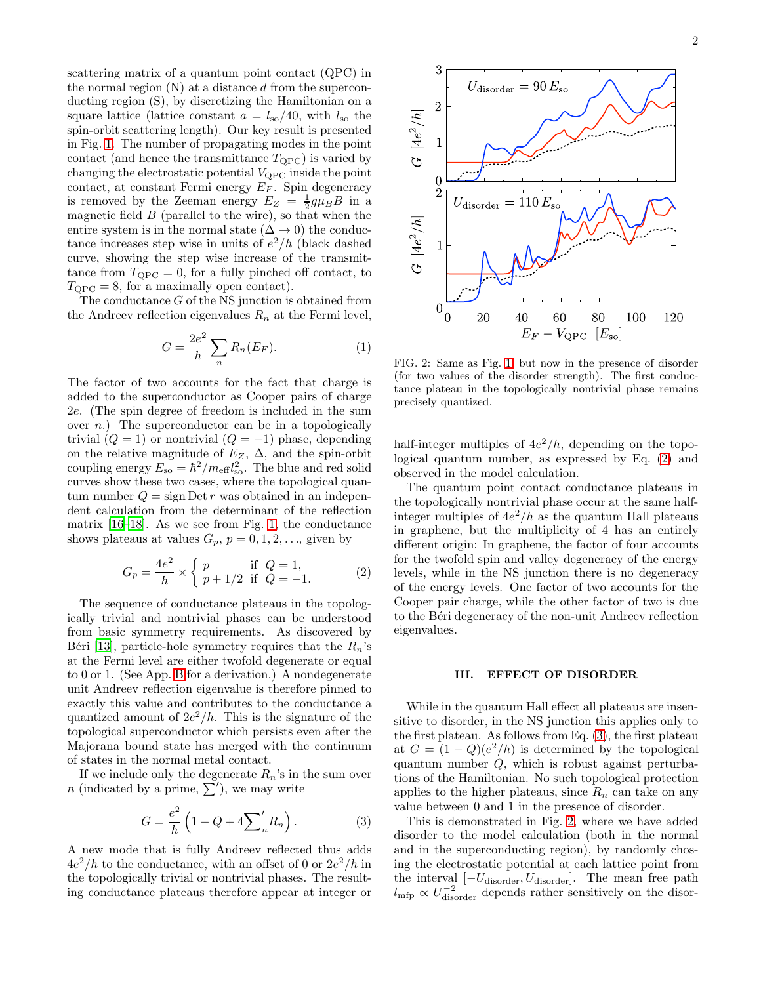scattering matrix of a quantum point contact (QPC) in the normal region  $(N)$  at a distance d from the superconducting region (S), by discretizing the Hamiltonian on a square lattice (lattice constant  $a = l_{\rm so}/40$ , with  $l_{\rm so}$  the spin-orbit scattering length). Our key result is presented in Fig. [1.](#page-0-0) The number of propagating modes in the point contact (and hence the transmittance  $T_{\text{QPC}}$ ) is varied by changing the electrostatic potential  $V_{\text{QPC}}$  inside the point contact, at constant Fermi energy  $E_F$ . Spin degeneracy is removed by the Zeeman energy  $E_Z = \frac{1}{2}g\mu_B B$  in a magnetic field  $B$  (parallel to the wire), so that when the entire system is in the normal state  $(\Delta \to 0)$  the conductance increases step wise in units of  $e^2/h$  (black dashed curve, showing the step wise increase of the transmittance from  $T_{\text{QPC}} = 0$ , for a fully pinched off contact, to  $T_{\rm QPC} = 8$ , for a maximally open contact).

The conductance  $G$  of the NS junction is obtained from the Andreev reflection eigenvalues  $R_n$  at the Fermi level,

<span id="page-1-3"></span>
$$
G = \frac{2e^2}{h} \sum_n R_n(E_F). \tag{1}
$$

The factor of two accounts for the fact that charge is added to the superconductor as Cooper pairs of charge 2e. (The spin degree of freedom is included in the sum over  $n$ .) The superconductor can be in a topologically trivial  $(Q = 1)$  or nontrivial  $(Q = -1)$  phase, depending on the relative magnitude of  $E_Z$ ,  $\Delta$ , and the spin-orbit coupling energy  $E_{\rm so} = \hbar^2 / m_{\rm eff} l_{\rm so}^2$ . The blue and red solid curves show these two cases, where the topological quantum number  $Q = \text{sign Det } r$  was obtained in an independent calculation from the determinant of the reflection matrix [\[16–](#page-5-14)[18\]](#page-5-15). As we see from Fig. [1,](#page-0-0) the conductance shows plateaus at values  $G_p$ ,  $p = 0, 1, 2, \ldots$ , given by

<span id="page-1-0"></span>
$$
G_p = \frac{4e^2}{h} \times \begin{cases} p & \text{if } Q = 1, \\ p + 1/2 & \text{if } Q = -1. \end{cases}
$$
 (2)

The sequence of conductance plateaus in the topologically trivial and nontrivial phases can be understood from basic symmetry requirements. As discovered by Béri [\[13\]](#page-5-11), particle-hole symmetry requires that the  $R_n$ 's at the Fermi level are either twofold degenerate or equal to 0 or 1. (See App. [B](#page-4-0) for a derivation.) A nondegenerate unit Andreev reflection eigenvalue is therefore pinned to exactly this value and contributes to the conductance a quantized amount of  $2e^2/h$ . This is the signature of the topological superconductor which persists even after the Majorana bound state has merged with the continuum of states in the normal metal contact.

If we include only the degenerate  $R_n$ 's in the sum over *n* (indicated by a prime,  $\sum'$ ), we may write

<span id="page-1-1"></span>
$$
G = \frac{e^2}{h} \left( 1 - Q + 4 \sum_{n}^{\prime} R_n \right). \tag{3}
$$

A new mode that is fully Andreev reflected thus adds  $4e^2/h$  to the conductance, with an offset of 0 or  $2e^2/h$  in the topologically trivial or nontrivial phases. The resulting conductance plateaus therefore appear at integer or



<span id="page-1-2"></span>FIG. 2: Same as Fig. [1,](#page-0-0) but now in the presence of disorder (for two values of the disorder strength). The first conductance plateau in the topologically nontrivial phase remains precisely quantized.

half-integer multiples of  $4e^2/h$ , depending on the topological quantum number, as expressed by Eq. [\(2\)](#page-1-0) and observed in the model calculation.

The quantum point contact conductance plateaus in the topologically nontrivial phase occur at the same halfinteger multiples of  $4e^2/h$  as the quantum Hall plateaus in graphene, but the multiplicity of 4 has an entirely different origin: In graphene, the factor of four accounts for the twofold spin and valley degeneracy of the energy levels, while in the NS junction there is no degeneracy of the energy levels. One factor of two accounts for the Cooper pair charge, while the other factor of two is due to the Béri degeneracy of the non-unit Andreev reflection eigenvalues.

### III. EFFECT OF DISORDER

While in the quantum Hall effect all plateaus are insensitive to disorder, in the NS junction this applies only to the first plateau. As follows from Eq. [\(3\)](#page-1-1), the first plateau at  $G = (1 - Q)(e^2/h)$  is determined by the topological quantum number Q, which is robust against perturbations of the Hamiltonian. No such topological protection applies to the higher plateaus, since  $R_n$  can take on any value between 0 and 1 in the presence of disorder.

This is demonstrated in Fig. [2,](#page-1-2) where we have added disorder to the model calculation (both in the normal and in the superconducting region), by randomly chosing the electrostatic potential at each lattice point from the interval  $[-U_{\text{disorder}}, U_{\text{disorder}}]$ . The mean free path  $l_{\rm mfp} \propto U_{\rm disorder}^{-2}$  depends rather sensitively on the disor-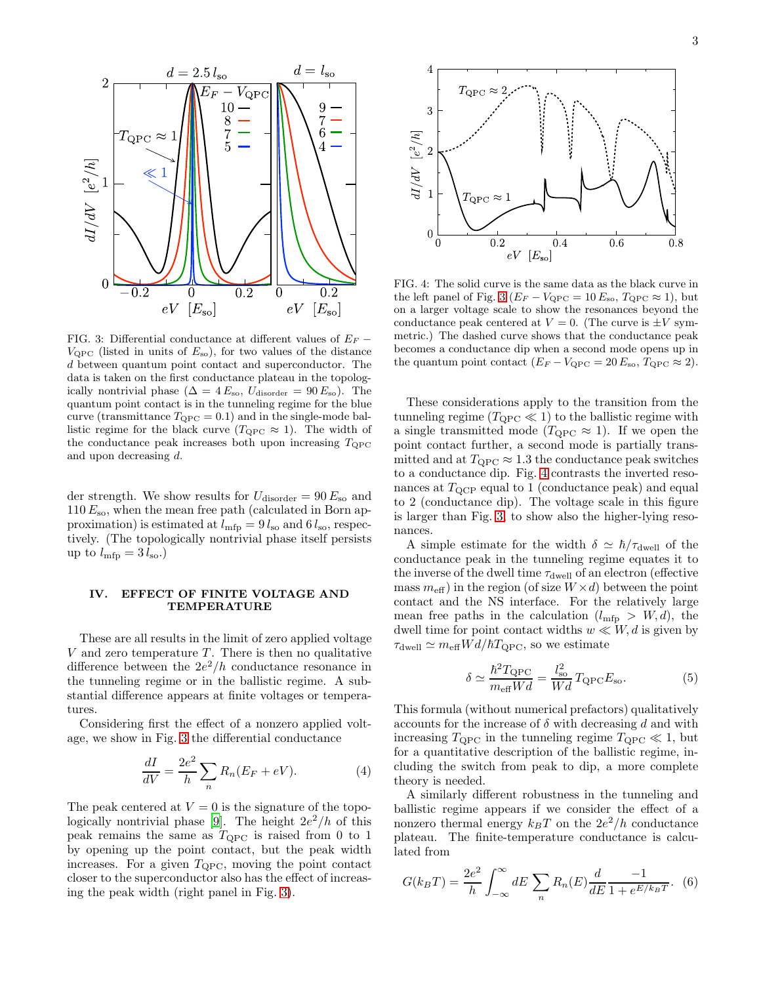

<span id="page-2-0"></span>FIG. 3: Differential conductance at different values of  $E_F$  –  $V_{\text{QPC}}$  (listed in units of  $E_{\text{so}}$ ), for two values of the distance d between quantum point contact and superconductor. The data is taken on the first conductance plateau in the topologically nontrivial phase ( $\Delta = 4 E_{\rm so}$ ,  $U_{\rm disorder} = 90 E_{\rm so}$ ). The quantum point contact is in the tunneling regime for the blue curve (transmittance  $T_{\text{QPC}} = 0.1$ ) and in the single-mode ballistic regime for the black curve  $(T_{\text{QPC}} \approx 1)$ . The width of the conductance peak increases both upon increasing  $T_{\text{QPC}}$ and upon decreasing d.

der strength. We show results for  $U_{\text{disorder}} = 90 E_{\text{so}}$  and  $110 E_{so}$ , when the mean free path (calculated in Born approximation) is estimated at  $l_{\text{mfp}} = 9 l_{\text{so}}$  and  $6 l_{\text{so}}$ , respectively. (The topologically nontrivial phase itself persists up to  $l_{\text{mfp}} = 3 l_{\text{so}}$ .)

## IV. EFFECT OF FINITE VOLTAGE AND TEMPERATURE

These are all results in the limit of zero applied voltage V and zero temperature  $T$ . There is then no qualitative difference between the  $2e^2/h$  conductance resonance in the tunneling regime or in the ballistic regime. A substantial difference appears at finite voltages or temperatures.

Considering first the effect of a nonzero applied voltage, we show in Fig. [3](#page-2-0) the differential conductance

<span id="page-2-2"></span>
$$
\frac{dI}{dV} = \frac{2e^2}{h} \sum_{n} R_n (E_F + eV). \tag{4}
$$

The peak centered at  $V = 0$  is the signature of the topo-logically nontrivial phase [\[9\]](#page-5-9). The height  $2e^2/h$  of this peak remains the same as  $T_{QPC}$  is raised from 0 to 1 by opening up the point contact, but the peak width increases. For a given  $T_{\text{QPC}}$ , moving the point contact closer to the superconductor also has the effect of increasing the peak width (right panel in Fig. [3\)](#page-2-0).



<span id="page-2-1"></span>FIG. 4: The solid curve is the same data as the black curve in the left panel of Fig. [3](#page-2-0) ( $E_F - V_{QPC} = 10 E_{so}$ ,  $T_{QPC} \approx 1$ ), but on a larger voltage scale to show the resonances beyond the conductance peak centered at  $V = 0$ . (The curve is  $\pm V$  symmetric.) The dashed curve shows that the conductance peak becomes a conductance dip when a second mode opens up in the quantum point contact  $(E_F - V_{QPC} = 20 E_{so}, T_{QPC} \approx 2)$ .

These considerations apply to the transition from the tunneling regime ( $T_{\text{QPC}} \ll 1$ ) to the ballistic regime with a single transmitted mode ( $T_{\text{QPC}} \approx 1$ ). If we open the point contact further, a second mode is partially transmitted and at  $T_\mathrm{QPC}\approx1.3$  the conductance peak switches to a conductance dip. Fig. [4](#page-2-1) contrasts the inverted resonances at  $T_{\text{OCP}}$  equal to 1 (conductance peak) and equal to 2 (conductance dip). The voltage scale in this figure is larger than Fig. [3,](#page-2-0) to show also the higher-lying resonances.

A simple estimate for the width  $\delta \simeq \hbar/\tau_{\text{dwell}}$  of the conductance peak in the tunneling regime equates it to the inverse of the dwell time  $\tau_{dwell}$  of an electron (effective mass  $m_{\text{eff}}$ ) in the region (of size  $W \times d$ ) between the point contact and the NS interface. For the relatively large mean free paths in the calculation  $(l_{\text{mfp}} > W, d)$ , the dwell time for point contact widths  $w \ll W$ , d is given by  $\tau_{\text{dwell}} \simeq m_{\text{eff}} W d/\hbar T_{\text{OPC}}$ , so we estimate

$$
\delta \simeq \frac{\hbar^2 T_{\rm QPC}}{m_{\rm eff} W d} = \frac{l_{\rm so}^2}{W d} T_{\rm QPC} E_{\rm so}.
$$
 (5)

This formula (without numerical prefactors) qualitatively accounts for the increase of  $\delta$  with decreasing d and with increasing  $T_{\text{QPC}}$  in the tunneling regime  $T_{\text{QPC}} \ll 1$ , but for a quantitative description of the ballistic regime, including the switch from peak to dip, a more complete theory is needed.

A similarly different robustness in the tunneling and ballistic regime appears if we consider the effect of a nonzero thermal energy  $k_B T$  on the  $2e^2/h$  conductance plateau. The finite-temperature conductance is calculated from

$$
G(k_BT) = \frac{2e^2}{h} \int_{-\infty}^{\infty} dE \sum_{n} R_n(E) \frac{d}{dE} \frac{-1}{1 + e^{E/k_BT}}.
$$
 (6)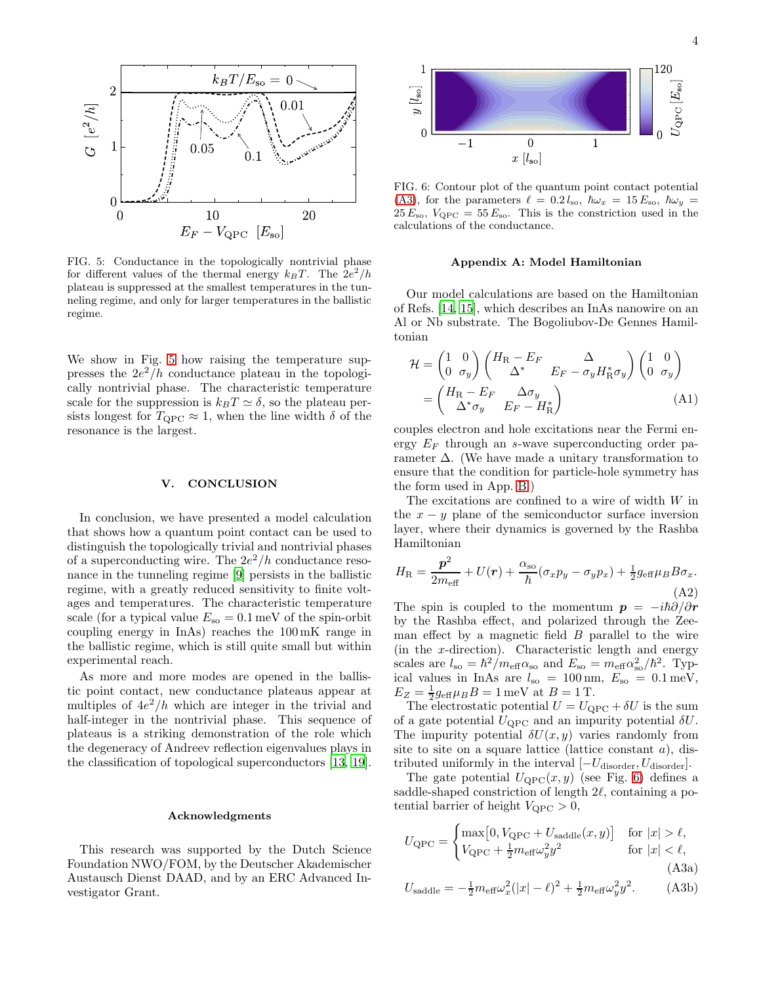

<span id="page-3-1"></span>FIG. 5: Conductance in the topologically nontrivial phase for different values of the thermal energy  $k_B T$ . The  $2e^2/h$ plateau is suppressed at the smallest temperatures in the tunneling regime, and only for larger temperatures in the ballistic regime.

We show in Fig. [5](#page-3-1) how raising the temperature suppresses the  $2e^2/h$  conductance plateau in the topologically nontrivial phase. The characteristic temperature scale for the suppression is  $k_BT \simeq \delta$ , so the plateau persists longest for  $T_{\text{QPC}} \approx 1$ , when the line width  $\delta$  of the resonance is the largest.

### V. CONCLUSION

In conclusion, we have presented a model calculation that shows how a quantum point contact can be used to distinguish the topologically trivial and nontrivial phases of a superconducting wire. The  $2e^2/h$  conductance resonance in the tunneling regime [\[9\]](#page-5-9) persists in the ballistic regime, with a greatly reduced sensitivity to finite voltages and temperatures. The characteristic temperature scale (for a typical value  $E_{so} = 0.1 \,\text{meV}$  of the spin-orbit coupling energy in InAs) reaches the 100 mK range in the ballistic regime, which is still quite small but within experimental reach.

As more and more modes are opened in the ballistic point contact, new conductance plateaus appear at multiples of  $4e^2/h$  which are integer in the trivial and half-integer in the nontrivial phase. This sequence of plateaus is a striking demonstration of the role which the degeneracy of Andreev reflection eigenvalues plays in the classification of topological superconductors [\[13,](#page-5-11) [19\]](#page-5-16).

#### Acknowledgments

This research was supported by the Dutch Science Foundation NWO/FOM, by the Deutscher Akademischer Austausch Dienst DAAD, and by an ERC Advanced Investigator Grant.



<span id="page-3-3"></span>FIG. 6: Contour plot of the quantum point contact potential [\(A3\)](#page-3-2), for the parameters  $\ell = 0.2 l_{\rm so}$ ,  $\hbar \omega_x = 15 E_{\rm so}$ ,  $\hbar \omega_y =$  $25 E_{\rm so}$ ,  $V_{\rm OPC} = 55 E_{\rm so}$ . This is the constriction used in the calculations of the conductance.

### <span id="page-3-4"></span><span id="page-3-0"></span>Appendix A: Model Hamiltonian

Our model calculations are based on the Hamiltonian of Refs. [\[14](#page-5-12), [15\]](#page-5-13), which describes an InAs nanowire on an Al or Nb substrate. The Bogoliubov-De Gennes Hamiltonian

$$
\mathcal{H} = \begin{pmatrix} 1 & 0 \\ 0 & \sigma_y \end{pmatrix} \begin{pmatrix} H_R - E_F & \Delta \\ \Delta^* & E_F - \sigma_y H_R^* \sigma_y \end{pmatrix} \begin{pmatrix} 1 & 0 \\ 0 & \sigma_y \end{pmatrix}
$$

$$
= \begin{pmatrix} H_R - E_F & \Delta \sigma_y \\ \Delta^* \sigma_y & E_F - H_R^* \end{pmatrix}
$$
(A1)

couples electron and hole excitations near the Fermi energy  $E_F$  through an s-wave superconducting order parameter  $\Delta$ . (We have made a unitary transformation to ensure that the condition for particle-hole symmetry has the form used in App. [B.](#page-4-0))

The excitations are confined to a wire of width W in the  $x - y$  plane of the semiconductor surface inversion layer, where their dynamics is governed by the Rashba Hamiltonian

$$
H_{\rm R} = \frac{p^2}{2m_{\rm eff}} + U(r) + \frac{\alpha_{\rm so}}{\hbar} (\sigma_x p_y - \sigma_y p_x) + \frac{1}{2} g_{\rm eff} \mu_B B \sigma_x.
$$
\n(A2)

The spin is coupled to the momentum  $p = -i\hbar\partial/\partial r$ by the Rashba effect, and polarized through the Zeeman effect by a magnetic field  $B$  parallel to the wire (in the x-direction). Characteristic length and energy scales are  $l_{\rm so} = \hbar^2 / m_{\rm eff} \alpha_{\rm so}$  and  $E_{\rm so} = m_{\rm eff} \alpha_{\rm so}^2 / \hbar^2$ . Typical values in InAs are  $l_{\rm so} = 100 \text{ nm}$ ,  $E_{\rm so} = 0.1 \text{ meV}$ ,  $E_Z = \frac{1}{2} g_{\text{eff}} \mu_B B = 1 \,\text{meV} \text{ at } B = 1 \,\text{T}.$ 

The electrostatic potential  $U = U_{\text{QPC}} + \delta U$  is the sum of a gate potential  $U_{\text{QPC}}$  and an impurity potential  $\delta U$ . The impurity potential  $\delta U(x, y)$  varies randomly from site to site on a square lattice (lattice constant  $a$ ), distributed uniformly in the interval  $[-U_{\text{disorder}}, U_{\text{disorder}}].$ 

The gate potential  $U_{\text{QPC}}(x, y)$  (see Fig. [6\)](#page-3-3) defines a saddle-shaped constriction of length  $2\ell$ , containing a potential barrier of height  $V_{\text{QPC}} > 0$ ,

<span id="page-3-2"></span>
$$
U_{\rm QPC} = \begin{cases} \max[0, V_{\rm QPC} + U_{\rm saddle}(x, y)] & \text{for } |x| > \ell, \\ V_{\rm QPC} + \frac{1}{2} m_{\rm eff} \omega_y^2 y^2 & \text{for } |x| < \ell, \\ \text{(A3a)} \end{cases}
$$

$$
U_{\text{saddle}} = -\frac{1}{2} m_{\text{eff}} \omega_x^2 (|x| - \ell)^2 + \frac{1}{2} m_{\text{eff}} \omega_y^2 y^2. \tag{A3b}
$$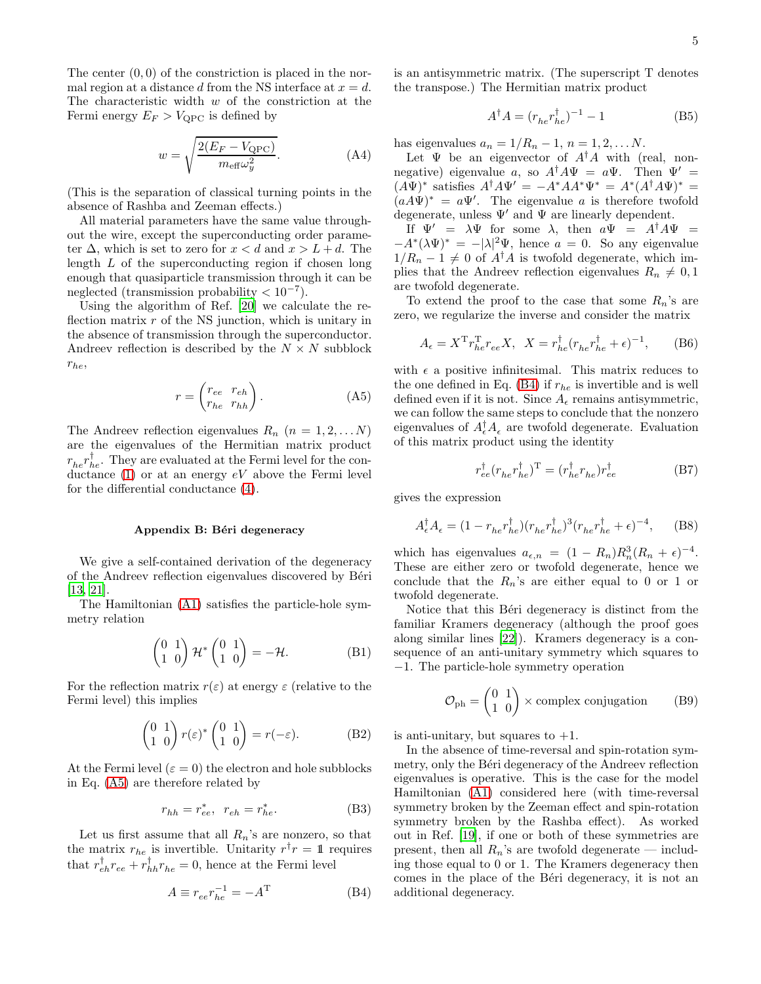The center  $(0,0)$  of the constriction is placed in the normal region at a distance d from the NS interface at  $x = d$ . The characteristic width  $w$  of the constriction at the Fermi energy  $E_F > V_{\rm QPC}$  is defined by

$$
w = \sqrt{\frac{2(E_F - V_{\rm QPC})}{m_{\rm eff}\omega_y^2}}.\tag{A4}
$$

(This is the separation of classical turning points in the absence of Rashba and Zeeman effects.)

All material parameters have the same value throughout the wire, except the superconducting order parameter  $\Delta$ , which is set to zero for  $x < d$  and  $x > L + d$ . The length L of the superconducting region if chosen long enough that quasiparticle transmission through it can be neglected (transmission probability  $< 10^{-7}$ ).

Using the algorithm of Ref. [\[20](#page-5-17)] we calculate the reflection matrix  $r$  of the NS junction, which is unitary in the absence of transmission through the superconductor. Andreev reflection is described by the  $N \times N$  subblock  $r_{he}$ ,

<span id="page-4-1"></span>
$$
r = \begin{pmatrix} r_{ee} & r_{eh} \\ r_{he} & r_{hh} \end{pmatrix} . \tag{A5}
$$

The Andreev reflection eigenvalues  $R_n$   $(n = 1, 2, \dots N)$ are the eigenvalues of the Hermitian matrix product  $r_{he}r_{he}^{\dagger}$ . They are evaluated at the Fermi level for the conductance  $(1)$  or at an energy  $eV$  above the Fermi level for the differential conductance [\(4\)](#page-2-2).

### <span id="page-4-0"></span>Appendix B: Béri degeneracy

We give a self-contained derivation of the degeneracy of the Andreev reflection eigenvalues discovered by Béri [\[13,](#page-5-11) [21\]](#page-5-18).

The Hamiltonian [\(A1\)](#page-3-4) satisfies the particle-hole symmetry relation

$$
\begin{pmatrix} 0 & 1 \\ 1 & 0 \end{pmatrix} \mathcal{H}^* \begin{pmatrix} 0 & 1 \\ 1 & 0 \end{pmatrix} = -\mathcal{H}.
$$
 (B1)

For the reflection matrix  $r(\varepsilon)$  at energy  $\varepsilon$  (relative to the Fermi level) this implies

$$
\begin{pmatrix} 0 & 1 \\ 1 & 0 \end{pmatrix} r(\varepsilon)^* \begin{pmatrix} 0 & 1 \\ 1 & 0 \end{pmatrix} = r(-\varepsilon). \tag{B2}
$$

At the Fermi level  $(\varepsilon = 0)$  the electron and hole subblocks in Eq. [\(A5\)](#page-4-1) are therefore related by

$$
r_{hh} = r_{ee}^*, \ \ r_{eh} = r_{he}^*.
$$
 (B3)

Let us first assume that all  $R_n$ 's are nonzero, so that the matrix  $r_{he}$  is invertible. Unitarity  $r^{\dagger}r = 1$  requires that  $r_{eh}^{\dagger}r_{ee} + r_{hh}^{\dagger}r_{he} = 0$ , hence at the Fermi level

<span id="page-4-2"></span>
$$
A \equiv r_{ee} r_{he}^{-1} = -A^{\mathrm{T}} \tag{B4}
$$

is an antisymmetric matrix. (The superscript T denotes the transpose.) The Hermitian matrix product

$$
A^{\dagger}A = (r_{he}r_{he}^{\dagger})^{-1} - 1
$$
 (B5)

has eigenvalues  $a_n = 1/R_n - 1$ ,  $n = 1, 2, \ldots N$ .

Let  $\Psi$  be an eigenvector of  $A^{\dagger}A$  with (real, nonnegative) eigenvalue a, so  $A^{\dagger} A \Psi = a \Psi$ . Then  $\Psi' =$  $(A\Psi)^*$  satisfies  $A^{\dagger}A\Psi' = -A^*AA^*\Psi^* = A^*(A^{\dagger}A\Psi)^* =$  $(aA\Psi)^* = a\Psi'$ . The eigenvalue a is therefore twofold degenerate, unless  $\Psi'$  and  $\Psi$  are linearly dependent.

If  $\Psi' = \lambda \Psi$  for some  $\lambda$ , then  $a\Psi = A^{\dagger}A\Psi =$  $-A^*(\lambda \Psi)^* = -|\lambda|^2 \Psi$ , hence  $a = 0$ . So any eigenvalue  $1/R_n - 1 \neq 0$  of  $A^{\dagger}A$  is twofold degenerate, which implies that the Andreev reflection eigenvalues  $R_n \neq 0, 1$ are twofold degenerate.

To extend the proof to the case that some  $R_n$ 's are zero, we regularize the inverse and consider the matrix

$$
A_{\epsilon} = X^{\mathrm{T}} r_{he}^{\mathrm{T}} r_{ee} X, \quad X = r_{he}^{\dagger} (r_{he} r_{he}^{\dagger} + \epsilon)^{-1}, \tag{B6}
$$

with  $\epsilon$  a positive infinitesimal. This matrix reduces to the one defined in Eq.  $(B4)$  if  $r_{he}$  is invertible and is well defined even if it is not. Since  $A_{\epsilon}$  remains antisymmetric, we can follow the same steps to conclude that the nonzero eigenvalues of  $A_{\epsilon}^{\dagger} A_{\epsilon}$  are twofold degenerate. Evaluation of this matrix product using the identity

$$
r_{ee}^{\dagger} (r_{he} r_{he}^{\dagger})^{\mathrm{T}} = (r_{he}^{\dagger} r_{he}) r_{ee}^{\dagger}
$$
 (B7)

gives the expression

$$
A_{\epsilon}^{\dagger} A_{\epsilon} = (1 - r_{he} r_{he}^{\dagger}) (r_{he} r_{he}^{\dagger})^3 (r_{he} r_{he}^{\dagger} + \epsilon)^{-4}, \quad (B8)
$$

which has eigenvalues  $a_{\epsilon,n} = (1 - R_n)R_n^3(R_n + \epsilon)^{-4}$ . These are either zero or twofold degenerate, hence we conclude that the  $R_n$ 's are either equal to 0 or 1 or twofold degenerate.

Notice that this Béri degeneracy is distinct from the familiar Kramers degeneracy (although the proof goes along similar lines [\[22](#page-5-19)]). Kramers degeneracy is a consequence of an anti-unitary symmetry which squares to −1. The particle-hole symmetry operation

$$
\mathcal{O}_{\rm ph} = \begin{pmatrix} 0 & 1 \\ 1 & 0 \end{pmatrix} \times \text{complex conjugation} \tag{B9}
$$

is anti-unitary, but squares to  $+1$ .

In the absence of time-reversal and spin-rotation symmetry, only the Béri degeneracy of the Andreev reflection eigenvalues is operative. This is the case for the model Hamiltonian [\(A1\)](#page-3-4) considered here (with time-reversal symmetry broken by the Zeeman effect and spin-rotation symmetry broken by the Rashba effect). As worked out in Ref. [\[19\]](#page-5-16), if one or both of these symmetries are present, then all  $R_n$ 's are twofold degenerate — including those equal to 0 or 1. The Kramers degeneracy then comes in the place of the Beri degeneracy, it is not an additional degeneracy.